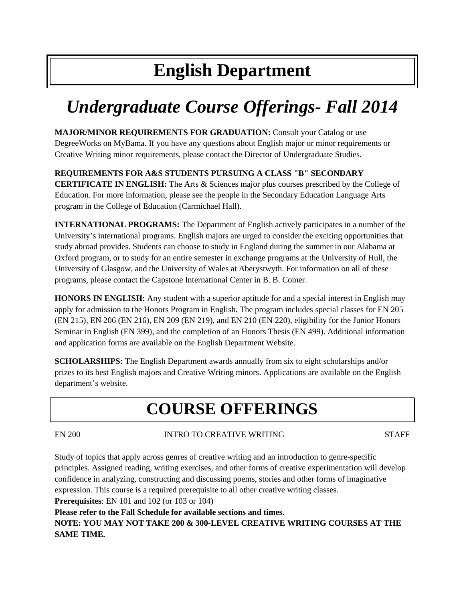# **English Department**

# *Undergraduate Course Offerings- Fall 2014*

**MAJOR/MINOR REQUIREMENTS FOR GRADUATION:** Consult your Catalog or use DegreeWorks on MyBama. If you have any questions about English major or minor requirements or Creative Writing minor requirements, please contact the Director of Undergraduate Studies.

# **REQUIREMENTS FOR A&S STUDENTS PURSUING A CLASS "B" SECONDARY**

**CERTIFICATE IN ENGLISH:** The Arts & Sciences major plus courses prescribed by the College of Education. For more information, please see the people in the Secondary Education Language Arts program in the College of Education (Carmichael Hall).

**INTERNATIONAL PROGRAMS:** The Department of English actively participates in a number of the University's international programs. English majors are urged to consider the exciting opportunities that study abroad provides. Students can choose to study in England during the summer in our Alabama at Oxford program, or to study for an entire semester in exchange programs at the University of Hull, the University of Glasgow, and the University of Wales at Aberystwyth. For information on all of these programs, please contact the Capstone International Center in B. B. Comer.

**HONORS IN ENGLISH:** Any student with a superior aptitude for and a special interest in English may apply for admission to the Honors Program in English. The program includes special classes for EN 205 (EN 215), EN 206 (EN 216), EN 209 (EN 219), and EN 210 (EN 220), eligibility for the Junior Honors Seminar in English (EN 399), and the completion of an Honors Thesis (EN 499). Additional information and application forms are available on the English Department Website.

**SCHOLARSHIPS:** The English Department awards annually from six to eight scholarships and/or prizes to its best English majors and Creative Writing minors. Applications are available on the English department's website.

# **COURSE OFFERINGS**

# EN 200 INTRO TO CREATIVE WRITING STAFF

Study of topics that apply across genres of creative writing and an introduction to genre-specific principles. Assigned reading, writing exercises, and other forms of creative experimentation will develop confidence in analyzing, constructing and discussing poems, stories and other forms of imaginative expression. This course is a required prerequisite to all other creative writing classes.

**Prerequisites**: EN 101 and 102 (or 103 or 104)

**Please refer to the Fall Schedule for available sections and times.**

**NOTE: YOU MAY NOT TAKE 200 & 300-LEVEL CREATIVE WRITING COURSES AT THE SAME TIME.**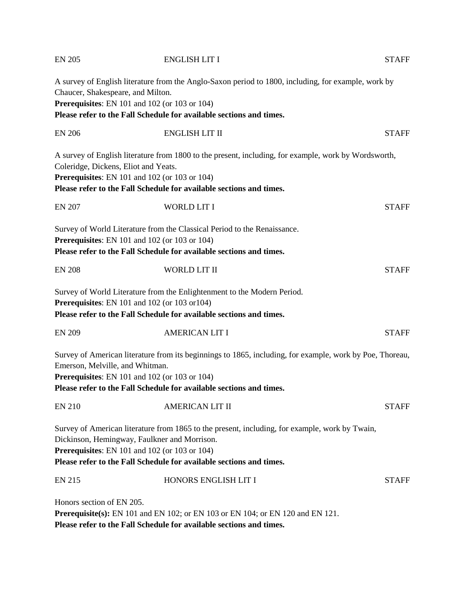| <b>EN 205</b>                        | <b>ENGLISH LIT I</b>                                                                                                                                                                                                                                                   | <b>STAFF</b> |
|--------------------------------------|------------------------------------------------------------------------------------------------------------------------------------------------------------------------------------------------------------------------------------------------------------------------|--------------|
| Chaucer, Shakespeare, and Milton.    | A survey of English literature from the Anglo-Saxon period to 1800, including, for example, work by<br>Prerequisites: EN 101 and 102 (or 103 or 104)<br>Please refer to the Fall Schedule for available sections and times.                                            |              |
| <b>EN 206</b>                        | <b>ENGLISH LIT II</b>                                                                                                                                                                                                                                                  | <b>STAFF</b> |
| Coleridge, Dickens, Eliot and Yeats. | A survey of English literature from 1800 to the present, including, for example, work by Wordsworth,<br>Prerequisites: EN 101 and 102 (or 103 or 104)<br>Please refer to the Fall Schedule for available sections and times.                                           |              |
| <b>EN 207</b>                        | <b>WORLD LIT I</b>                                                                                                                                                                                                                                                     | <b>STAFF</b> |
|                                      | Survey of World Literature from the Classical Period to the Renaissance.<br>Prerequisites: EN 101 and 102 (or 103 or 104)<br>Please refer to the Fall Schedule for available sections and times.                                                                       |              |
| <b>EN 208</b>                        | WORLD LIT II                                                                                                                                                                                                                                                           | <b>STAFF</b> |
|                                      | Survey of World Literature from the Enlightenment to the Modern Period.<br>Prerequisites: EN 101 and 102 (or 103 or 104)<br>Please refer to the Fall Schedule for available sections and times.                                                                        |              |
| <b>EN 209</b>                        | <b>AMERICAN LIT I</b>                                                                                                                                                                                                                                                  | <b>STAFF</b> |
| Emerson, Melville, and Whitman.      | Survey of American literature from its beginnings to 1865, including, for example, work by Poe, Thoreau,<br>Prerequisites: EN 101 and 102 (or 103 or 104)<br>Please refer to the Fall Schedule for available sections and times.                                       |              |
| <b>EN 210</b>                        | <b>AMERICAN LIT II</b>                                                                                                                                                                                                                                                 | <b>STAFF</b> |
|                                      | Survey of American literature from 1865 to the present, including, for example, work by Twain,<br>Dickinson, Hemingway, Faulkner and Morrison.<br>Prerequisites: EN 101 and 102 (or 103 or 104)<br>Please refer to the Fall Schedule for available sections and times. |              |
| <b>EN 215</b>                        | HONORS ENGLISH LIT I                                                                                                                                                                                                                                                   | <b>STAFF</b> |
| Honors section of EN 205.            | <b>Prerequisite(s):</b> EN 101 and EN 102; or EN 103 or EN 104; or EN 120 and EN 121.<br>Please refer to the Fall Schedule for available sections and times.                                                                                                           |              |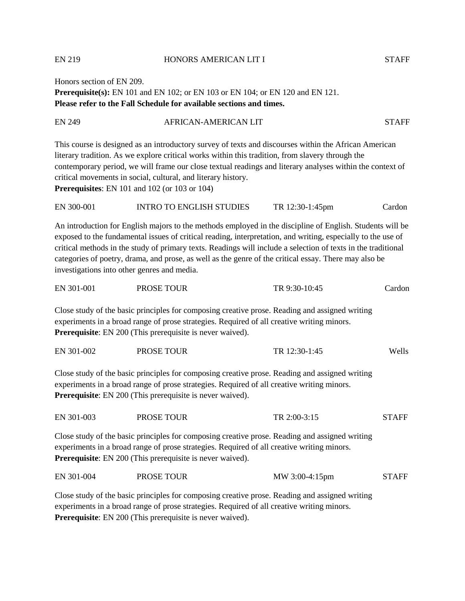EN 219 HONORS AMERICAN LIT I STAFF

Honors section of EN 209. **Prerequisite(s):** EN 101 and EN 102; or EN 103 or EN 104; or EN 120 and EN 121. **Please refer to the Fall Schedule for available sections and times.**

| This course is designed as an introductory survey of texts and discourses within the African American<br>literary tradition. As we explore critical works within this tradition, from slavery through the<br>contemporary period, we will frame our close textual readings and literary analyses within the context of<br>critical movements in social, cultural, and literary history. | <b>EN 249</b> | <b>AFRICAN-AMERICAN LIT</b> | <b>STAFF</b> |
|-----------------------------------------------------------------------------------------------------------------------------------------------------------------------------------------------------------------------------------------------------------------------------------------------------------------------------------------------------------------------------------------|---------------|-----------------------------|--------------|
|                                                                                                                                                                                                                                                                                                                                                                                         |               |                             |              |
|                                                                                                                                                                                                                                                                                                                                                                                         |               |                             |              |
|                                                                                                                                                                                                                                                                                                                                                                                         |               |                             |              |
|                                                                                                                                                                                                                                                                                                                                                                                         |               |                             |              |
| <b>Prerequisites:</b> EN $101$ and $102$ (or $103$ or $104$ )                                                                                                                                                                                                                                                                                                                           |               |                             |              |

EN 300-001 INTRO TO ENGLISH STUDIES TR 12:30-1:45pm Cardon

An introduction for English majors to the methods employed in the discipline of English. Students will be exposed to the fundamental issues of critical reading, interpretation, and writing, especially to the use of critical methods in the study of primary texts. Readings will include a selection of texts in the traditional categories of poetry, drama, and prose, as well as the genre of the critical essay. There may also be investigations into other genres and media.

| EN 301-001 | PROSE TOUR | TR 9:30-10:45 | Cardon |
|------------|------------|---------------|--------|
|            |            |               |        |

Close study of the basic principles for composing creative prose. Reading and assigned writing experiments in a broad range of prose strategies. Required of all creative writing minors. **Prerequisite**: EN 200 (This prerequisite is never waived).

| EN 301-002 | PROSE TOUR | TR 12:30-1:45 | Wells |
|------------|------------|---------------|-------|
|            |            |               |       |

Close study of the basic principles for composing creative prose. Reading and assigned writing experiments in a broad range of prose strategies. Required of all creative writing minors. **Prerequisite**: EN 200 (This prerequisite is never waived).

| EN 301-003 | PROSE TOUR | TR 2:00-3:15 | <b>STAFF</b> |
|------------|------------|--------------|--------------|
|            |            |              |              |

Close study of the basic principles for composing creative prose. Reading and assigned writing experiments in a broad range of prose strategies. Required of all creative writing minors. **Prerequisite**: EN 200 (This prerequisite is never waived).

EN 301-004 PROSE TOUR MW 3:00-4:15pm STAFF

Close study of the basic principles for composing creative prose. Reading and assigned writing experiments in a broad range of prose strategies. Required of all creative writing minors. **Prerequisite**: EN 200 (This prerequisite is never waived).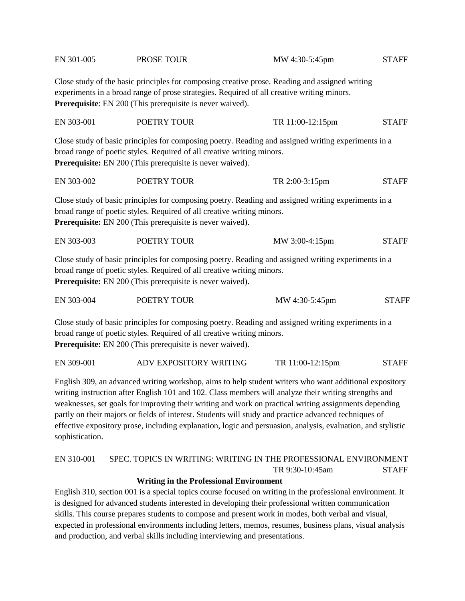| EN 301-005 | PROSE TOUR                                                                                                                                 | MW 4:30-5:45pm                                                                                                                                                                               | <b>STAFF</b> |
|------------|--------------------------------------------------------------------------------------------------------------------------------------------|----------------------------------------------------------------------------------------------------------------------------------------------------------------------------------------------|--------------|
|            | Prerequisite: EN 200 (This prerequisite is never waived).                                                                                  | Close study of the basic principles for composing creative prose. Reading and assigned writing<br>experiments in a broad range of prose strategies. Required of all creative writing minors. |              |
| EN 303-001 | POETRY TOUR                                                                                                                                | TR 11:00-12:15pm                                                                                                                                                                             | <b>STAFF</b> |
|            | broad range of poetic styles. Required of all creative writing minors.<br>Prerequisite: EN 200 (This prerequisite is never waived).        | Close study of basic principles for composing poetry. Reading and assigned writing experiments in a                                                                                          |              |
| EN 303-002 | POETRY TOUR                                                                                                                                | TR 2:00-3:15pm                                                                                                                                                                               | <b>STAFF</b> |
|            | broad range of poetic styles. Required of all creative writing minors.<br>Prerequisite: EN 200 (This prerequisite is never waived).        | Close study of basic principles for composing poetry. Reading and assigned writing experiments in a                                                                                          |              |
| EN 303-003 | POETRY TOUR                                                                                                                                | MW 3:00-4:15pm                                                                                                                                                                               | <b>STAFF</b> |
|            | broad range of poetic styles. Required of all creative writing minors.<br>Prerequisite: EN 200 (This prerequisite is never waived).        | Close study of basic principles for composing poetry. Reading and assigned writing experiments in a                                                                                          |              |
| EN 303-004 | POETRY TOUR                                                                                                                                | MW 4:30-5:45pm                                                                                                                                                                               | <b>STAFF</b> |
|            | broad range of poetic styles. Required of all creative writing minors.<br><b>Prerequisite:</b> EN 200 (This prerequisite is never waived). | Close study of basic principles for composing poetry. Reading and assigned writing experiments in a                                                                                          |              |

EN 309-001 ADV EXPOSITORY WRITING TR 11:00-12:15pm STAFF

English 309, an advanced writing workshop, aims to help student writers who want additional expository writing instruction after English 101 and 102. Class members will analyze their writing strengths and weaknesses, set goals for improving their writing and work on practical writing assignments depending partly on their majors or fields of interest. Students will study and practice advanced techniques of effective expository prose, including explanation, logic and persuasion, analysis, evaluation, and stylistic sophistication.

# EN 310-001 SPEC. TOPICS IN WRITING: WRITING IN THE PROFESSIONAL ENVIRONMENT TR 9:30-10:45am STAFF

#### **Writing in the Professional Environment**

English 310, section 001 is a special topics course focused on writing in the professional environment. It is designed for advanced students interested in developing their professional written communication skills. This course prepares students to compose and present work in modes, both verbal and visual, expected in professional environments including letters, memos, resumes, business plans, visual analysis and production, and verbal skills including interviewing and presentations.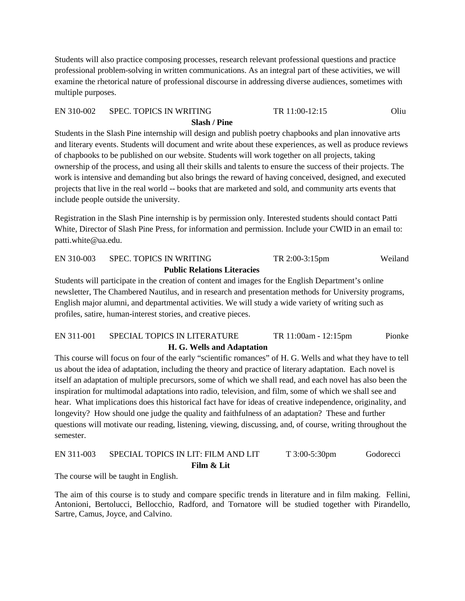Students will also practice composing processes, research relevant professional questions and practice professional problem-solving in written communications. As an integral part of these activities, we will examine the rhetorical nature of professional discourse in addressing diverse audiences, sometimes with multiple purposes.

#### EN 310-002 SPEC. TOPICS IN WRITING TR 11:00-12:15 Oliu

#### **Slash / Pine**

Students in the Slash Pine internship will design and publish poetry chapbooks and plan innovative arts and literary events. Students will document and write about these experiences, as well as produce reviews of chapbooks to be published on our website. Students will work together on all projects, taking ownership of the process, and using all their skills and talents to ensure the success of their projects. The work is intensive and demanding but also brings the reward of having conceived, designed, and executed projects that live in the real world -- books that are marketed and sold, and community arts events that include people outside the university.

Registration in the Slash Pine internship is by permission only. Interested students should contact Patti White, Director of Slash Pine Press, for information and permission. Include your CWID in an email to: patti.white@ua.edu.

# EN 310-003 SPEC. TOPICS IN WRITING TR 2:00-3:15pm Weiland **Public Relations Literacies**

Students will participate in the creation of content and images for the English Department's online newsletter, The Chambered Nautilus, and in research and presentation methods for University programs, English major alumni, and departmental activities. We will study a wide variety of writing such as profiles, satire, human-interest stories, and creative pieces.

# EN 311-001 SPECIAL TOPICS IN LITERATURE TR 11:00am - 12:15pm Pionke **H. G. Wells and Adaptation**

This course will focus on four of the early "scientific romances" of H. G. Wells and what they have to tell us about the idea of adaptation, including the theory and practice of literary adaptation. Each novel is itself an adaptation of multiple precursors, some of which we shall read, and each novel has also been the inspiration for multimodal adaptations into radio, television, and film, some of which we shall see and hear. What implications does this historical fact have for ideas of creative independence, originality, and longevity? How should one judge the quality and faithfulness of an adaptation? These and further questions will motivate our reading, listening, viewing, discussing, and, of course, writing throughout the semester.

# EN 311-003 SPECIAL TOPICS IN LIT: FILM AND LIT T 3:00-5:30pm Godorecci **Film & Lit**

The course will be taught in English.

The aim of this course is to study and compare specific trends in literature and in film making. Fellini, Antonioni, Bertolucci, Bellocchio, Radford, and Tornatore will be studied together with Pirandello, Sartre, Camus, Joyce, and Calvino.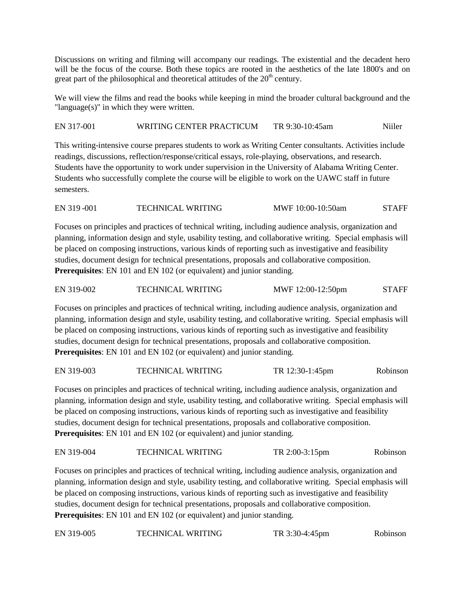Discussions on writing and filming will accompany our readings. The existential and the decadent hero will be the focus of the course. Both these topics are rooted in the aesthetics of the late 1800's and on great part of the philosophical and theoretical attitudes of the  $20<sup>th</sup>$  century.

We will view the films and read the books while keeping in mind the broader cultural background and the "language(s)" in which they were written.

EN 317-001 WRITING CENTER PRACTICUM TR 9:30-10:45am Niiler

This writing-intensive course prepares students to work as Writing Center consultants. Activities include readings, discussions, reflection/response/critical essays, role-playing, observations, and research. Students have the opportunity to work under supervision in the University of Alabama Writing Center. Students who successfully complete the course will be eligible to work on the UAWC staff in future semesters.

EN 319 -001 TECHNICAL WRITING MWF 10:00-10:50am STAFF

Focuses on principles and practices of technical writing, including audience analysis, organization and planning, information design and style, usability testing, and collaborative writing. Special emphasis will be placed on composing instructions, various kinds of reporting such as investigative and feasibility studies, document design for technical presentations, proposals and collaborative composition. **Prerequisites**: EN 101 and EN 102 (or equivalent) and junior standing.

| EN 319-002 | <b>TECHNICAL WRITING</b> | MWF 12:00-12:50pm | <b>STAFF</b> |
|------------|--------------------------|-------------------|--------------|
|            |                          |                   |              |

Focuses on principles and practices of technical writing, including audience analysis, organization and planning, information design and style, usability testing, and collaborative writing. Special emphasis will be placed on composing instructions, various kinds of reporting such as investigative and feasibility studies, document design for technical presentations, proposals and collaborative composition. **Prerequisites**: EN 101 and EN 102 (or equivalent) and junior standing.

EN 319-003 TECHNICAL WRITING TR 12:30-1:45pm Robinson

Focuses on principles and practices of technical writing, including audience analysis, organization and planning, information design and style, usability testing, and collaborative writing. Special emphasis will be placed on composing instructions, various kinds of reporting such as investigative and feasibility studies, document design for technical presentations, proposals and collaborative composition. **Prerequisites**: EN 101 and EN 102 (or equivalent) and junior standing.

#### EN 319-004 TECHNICAL WRITING TR 2:00-3:15pm Robinson

Focuses on principles and practices of technical writing, including audience analysis, organization and planning, information design and style, usability testing, and collaborative writing. Special emphasis will be placed on composing instructions, various kinds of reporting such as investigative and feasibility studies, document design for technical presentations, proposals and collaborative composition. **Prerequisites**: EN 101 and EN 102 (or equivalent) and junior standing.

EN 319-005 TECHNICAL WRITING TR 3:30-4:45pm Robinson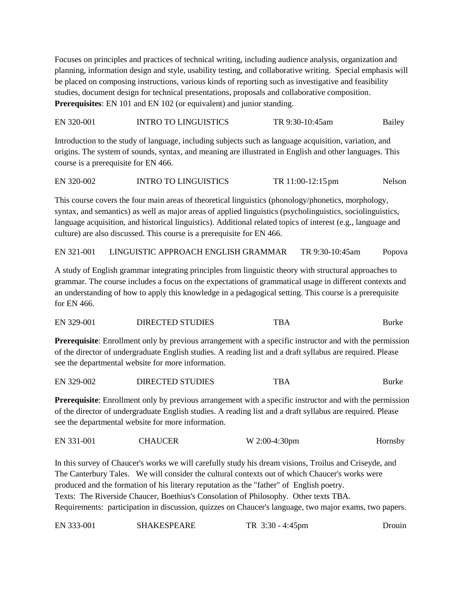Focuses on principles and practices of technical writing, including audience analysis, organization and planning, information design and style, usability testing, and collaborative writing. Special emphasis will be placed on composing instructions, various kinds of reporting such as investigative and feasibility studies, document design for technical presentations, proposals and collaborative composition. **Prerequisites**: EN 101 and EN 102 (or equivalent) and junior standing.

EN 320-001 INTRO TO LINGUISTICS TR 9:30-10:45am Bailey

Introduction to the study of language, including subjects such as language acquisition, variation, and origins. The system of sounds, syntax, and meaning are illustrated in English and other languages. This course is a prerequisite for EN 466.

EN 320-002 INTRO TO LINGUISTICS TR 11:00-12:15 pm Nelson

This course covers the four main areas of theoretical linguistics (phonology/phonetics, morphology, syntax, and semantics) as well as major areas of applied linguistics (psycholinguistics, sociolinguistics, language acquisition, and historical linguistics). Additional related topics of interest (e.g., language and culture) are also discussed. This course is a prerequisite for EN 466.

EN 321-001 LINGUISTIC APPROACH ENGLISH GRAMMAR TR 9:30-10:45am Popova

A study of English grammar integrating principles from linguistic theory with structural approaches to grammar. The course includes a focus on the expectations of grammatical usage in different contexts and an understanding of how to apply this knowledge in a pedagogical setting. This course is a prerequisite for EN 466.

EN 329-001 DIRECTED STUDIES TBA Burke

**Prerequisite**: Enrollment only by previous arrangement with a specific instructor and with the permission of the director of undergraduate English studies. A reading list and a draft syllabus are required. Please see the departmental website for more information.

| EN 329-002 | <b>DIRECTED STUDIES</b> | TBA | Burke |
|------------|-------------------------|-----|-------|
|------------|-------------------------|-----|-------|

**Prerequisite**: Enrollment only by previous arrangement with a specific instructor and with the permission of the director of undergraduate English studies. A reading list and a draft syllabus are required. Please see the departmental website for more information.

| EN 331-001 | <b>CHAUCER</b> | $W 2:00-4:30 \text{pm}$ | Hornsby |
|------------|----------------|-------------------------|---------|
|------------|----------------|-------------------------|---------|

In this survey of Chaucer's works we will carefully study his dream visions, Troilus and Criseyde, and The Canterbury Tales. We will consider the cultural contexts out of which Chaucer's works were produced and the formation of his literary reputation as the "father" of English poetry. Texts: The Riverside Chaucer, Boethius's Consolation of Philosophy. Other texts TBA. Requirements: participation in discussion, quizzes on Chaucer's language, two major exams, two papers.

EN 333-001 SHAKESPEARE TR 3:30 - 4:45pm Drouin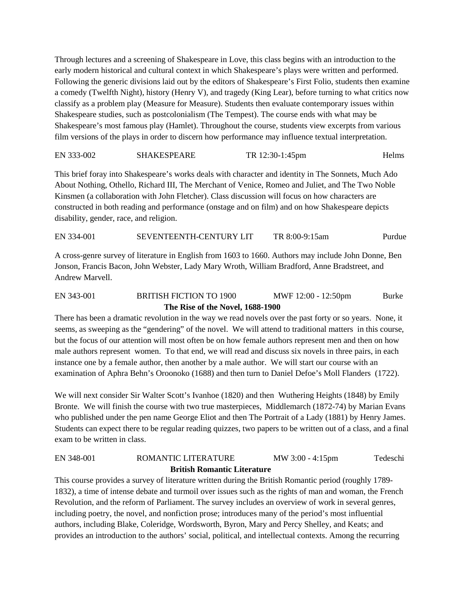Through lectures and a screening of Shakespeare in Love, this class begins with an introduction to the early modern historical and cultural context in which Shakespeare's plays were written and performed. Following the generic divisions laid out by the editors of Shakespeare's First Folio, students then examine a comedy (Twelfth Night), history (Henry V), and tragedy (King Lear), before turning to what critics now classify as a problem play (Measure for Measure). Students then evaluate contemporary issues within Shakespeare studies, such as postcolonialism (The Tempest). The course ends with what may be Shakespeare's most famous play (Hamlet). Throughout the course, students view excerpts from various film versions of the plays in order to discern how performance may influence textual interpretation.

EN 333-002 SHAKESPEARE TR 12:30-1:45pm Helms

This brief foray into Shakespeare's works deals with character and identity in The Sonnets, Much Ado About Nothing, Othello, Richard III, The Merchant of Venice, Romeo and Juliet, and The Two Noble Kinsmen (a collaboration with John Fletcher). Class discussion will focus on how characters are constructed in both reading and performance (onstage and on film) and on how Shakespeare depicts disability, gender, race, and religion.

EN 334-001 SEVENTEENTH-CENTURY LIT TR 8:00-9:15am Purdue

A cross-genre survey of literature in English from 1603 to 1660. Authors may include John Donne, Ben Jonson, Francis Bacon, John Webster, Lady Mary Wroth, William Bradford, Anne Bradstreet, and Andrew Marvell.

# EN 343-001 BRITISH FICTION TO 1900 MWF 12:00 - 12:50pm Burke **The Rise of the Novel, 1688-1900**

There has been a dramatic revolution in the way we read novels over the past forty or so years. None, it seems, as sweeping as the "gendering" of the novel. We will attend to traditional matters in this course, but the focus of our attention will most often be on how female authors represent men and then on how male authors represent women. To that end, we will read and discuss six novels in three pairs, in each instance one by a female author, then another by a male author. We will start our course with an examination of Aphra Behn's Oroonoko (1688) and then turn to Daniel Defoe's Moll Flanders (1722).

We will next consider Sir Walter Scott's Ivanhoe (1820) and then Wuthering Heights (1848) by Emily Bronte. We will finish the course with two true masterpieces, Middlemarch (1872-74) by Marian Evans who published under the pen name George Eliot and then The Portrait of a Lady (1881) by Henry James. Students can expect there to be regular reading quizzes, two papers to be written out of a class, and a final exam to be written in class.

# EN 348-001 ROMANTIC LITERATURE MW 3:00 - 4:15pm Tedeschi **British Romantic Literature**

This course provides a survey of literature written during the British Romantic period (roughly 1789- 1832), a time of intense debate and turmoil over issues such as the rights of man and woman, the French Revolution, and the reform of Parliament. The survey includes an overview of work in several genres, including poetry, the novel, and nonfiction prose; introduces many of the period's most influential authors, including Blake, Coleridge, Wordsworth, Byron, Mary and Percy Shelley, and Keats; and provides an introduction to the authors' social, political, and intellectual contexts. Among the recurring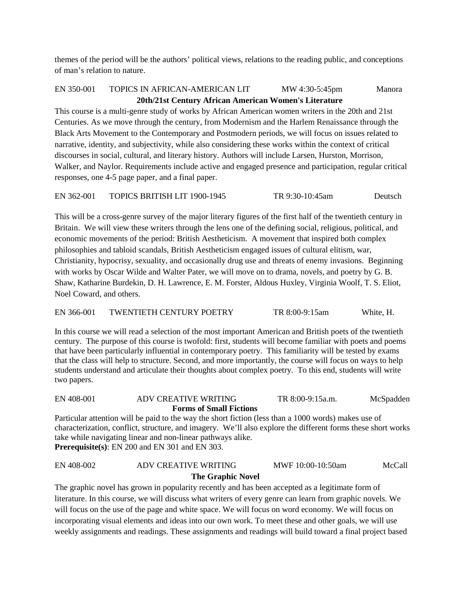themes of the period will be the authors' political views, relations to the reading public, and conceptions of man's relation to nature.

# EN 350-001 TOPICS IN AFRICAN-AMERICAN LIT MW 4:30-5:45pm Manora **20th/21st Century African American Women's Literature**

This course is a multi-genre study of works by African American women writers in the 20th and 21st Centuries. As we move through the century, from Modernism and the Harlem Renaissance through the Black Arts Movement to the Contemporary and Postmodern periods, we will focus on issues related to narrative, identity, and subjectivity, while also considering these works within the context of critical discourses in social, cultural, and literary history. Authors will include Larsen, Hurston, Morrison, Walker, and Naylor. Requirements include active and engaged presence and participation, regular critical responses, one 4-5 page paper, and a final paper.

EN 362-001 TOPICS BRITISH LIT 1900-1945 TR 9:30-10:45am Deutsch

This will be a cross-genre survey of the major literary figures of the first half of the twentieth century in Britain. We will view these writers through the lens one of the defining social, religious, political, and economic movements of the period: British Aestheticism. A movement that inspired both complex philosophies and tabloid scandals, British Aestheticism engaged issues of cultural elitism, war, Christianity, hypocrisy, sexuality, and occasionally drug use and threats of enemy invasions. Beginning with works by Oscar Wilde and Walter Pater, we will move on to drama, novels, and poetry by G. B. Shaw, Katharine Burdekin, D. H. Lawrence, E. M. Forster, Aldous Huxley, Virginia Woolf, T. S. Eliot, Noel Coward, and others.

EN 366-001 TWENTIETH CENTURY POETRY TR 8:00-9:15am White, H.

In this course we will read a selection of the most important American and British poets of the twentieth century. The purpose of this course is twofold: first, students will become familiar with poets and poems that have been particularly influential in contemporary poetry. This familiarity will be tested by exams that the class will help to structure. Second, and more importantly, the course will focus on ways to help students understand and articulate their thoughts about complex poetry. To this end, students will write two papers.

#### EN 408-001 ADV CREATIVE WRITING TR 8:00-9:15a.m. McSpadden  **Forms of Small Fictions**

Particular attention will be paid to the way the short fiction (less than a 1000 words) makes use of characterization, conflict, structure, and imagery. We'll also explore the different forms these short works take while navigating linear and non-linear pathways alike. **Prerequisite(s)**: EN 200 and EN 301 and EN 303.

# EN 408-002 ADV CREATIVE WRITING MWF 10:00-10:50am McCall **The Graphic Novel**

The graphic novel has grown in popularity recently and has been accepted as a legitimate form of literature. In this course, we will discuss what writers of every genre can learn from graphic novels. We will focus on the use of the page and white space. We will focus on word economy. We will focus on incorporating visual elements and ideas into our own work. To meet these and other goals, we will use weekly assignments and readings. These assignments and readings will build toward a final project based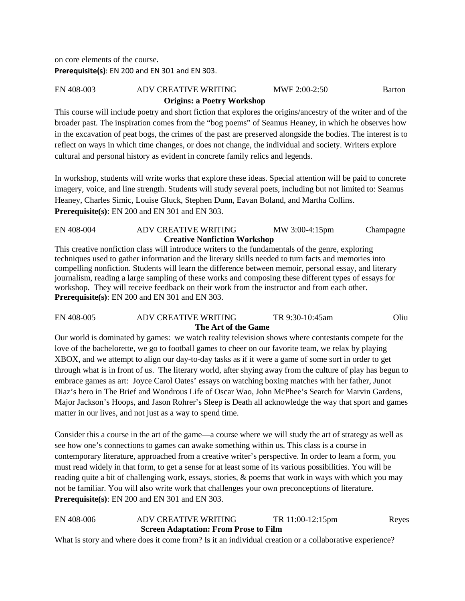on core elements of the course. **Prerequisite(s)**: EN 200 and EN 301 and EN 303.

## EN 408-003 ADV CREATIVE WRITING MWF 2:00-2:50 Barton **Origins: a Poetry Workshop**

This course will include poetry and short fiction that explores the origins/ancestry of the writer and of the broader past. The inspiration comes from the "bog poems" of Seamus Heaney, in which he observes how in the excavation of peat bogs, the crimes of the past are preserved alongside the bodies. The interest is to reflect on ways in which time changes, or does not change, the individual and society. Writers explore cultural and personal history as evident in concrete family relics and legends.

In workshop, students will write works that explore these ideas. Special attention will be paid to concrete imagery, voice, and line strength. Students will study several poets, including but not limited to: Seamus Heaney, Charles Simic, Louise Gluck, Stephen Dunn, Eavan Boland, and Martha Collins. **Prerequisite(s)**: EN 200 and EN 301 and EN 303.

#### EN 408-004 ADV CREATIVE WRITING MW 3:00-4:15pm Champagne **Creative Nonfiction Workshop**

This creative nonfiction class will introduce writers to the fundamentals of the genre, exploring techniques used to gather information and the literary skills needed to turn facts and memories into compelling nonfiction. Students will learn the difference between memoir, personal essay, and literary journalism, reading a large sampling of these works and composing these different types of essays for workshop. They will receive feedback on their work from the instructor and from each other. **Prerequisite(s)**: EN 200 and EN 301 and EN 303.

#### EN 408-005 ADV CREATIVE WRITING TR 9:30-10:45am Oliu **The Art of the Game**

Our world is dominated by games: we watch reality television shows where contestants compete for the love of the bachelorette, we go to football games to cheer on our favorite team, we relax by playing XBOX, and we attempt to align our day-to-day tasks as if it were a game of some sort in order to get through what is in front of us. The literary world, after shying away from the culture of play has begun to embrace games as art: Joyce Carol Oates' essays on watching boxing matches with her father, Junot Diaz's hero in The Brief and Wondrous Life of Oscar Wao, John McPhee's Search for Marvin Gardens, Major Jackson's Hoops, and Jason Rohrer's Sleep is Death all acknowledge the way that sport and games matter in our lives, and not just as a way to spend time.

Consider this a course in the art of the game—a course where we will study the art of strategy as well as see how one's connections to games can awake something within us. This class is a course in contemporary literature, approached from a creative writer's perspective. In order to learn a form, you must read widely in that form, to get a sense for at least some of its various possibilities. You will be reading quite a bit of challenging work, essays, stories, & poems that work in ways with which you may not be familiar. You will also write work that challenges your own preconceptions of literature. **Prerequisite(s)**: EN 200 and EN 301 and EN 303.

# EN 408-006 ADV CREATIVE WRITING TR 11:00-12:15pm Reyes  **Screen Adaptation: From Prose to Film**

What is story and where does it come from? Is it an individual creation or a collaborative experience?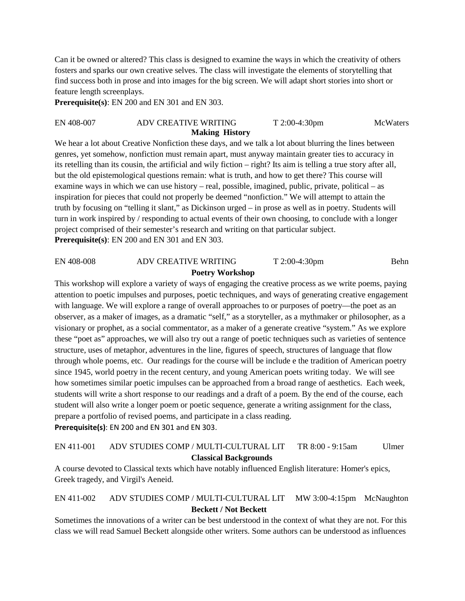Can it be owned or altered? This class is designed to examine the ways in which the creativity of others fosters and sparks our own creative selves. The class will investigate the elements of storytelling that find success both in prose and into images for the big screen. We will adapt short stories into short or feature length screenplays.

**Prerequisite(s)**: EN 200 and EN 301 and EN 303.

#### EN 408-007 ADV CREATIVE WRITING T 2:00-4:30pm McWaters **Making History**

We hear a lot about Creative Nonfiction these days, and we talk a lot about blurring the lines between genres, yet somehow, nonfiction must remain apart, must anyway maintain greater ties to accuracy in its retelling than its cousin, the artificial and wily fiction – right? Its aim is telling a true story after all, but the old epistemological questions remain: what is truth, and how to get there? This course will examine ways in which we can use history – real, possible, imagined, public, private, political – as inspiration for pieces that could not properly be deemed "nonfiction." We will attempt to attain the truth by focusing on "telling it slant," as Dickinson urged – in prose as well as in poetry. Students will turn in work inspired by / responding to actual events of their own choosing, to conclude with a longer project comprised of their semester's research and writing on that particular subject. **Prerequisite(s)**: EN 200 and EN 301 and EN 303.

#### EN 408-008 ADV CREATIVE WRITING T 2:00-4:30pm Behn **Poetry Workshop**

This workshop will explore a variety of ways of engaging the creative process as we write poems, paying attention to poetic impulses and purposes, poetic techniques, and ways of generating creative engagement with language. We will explore a range of overall approaches to or purposes of poetry—the poet as an observer, as a maker of images, as a dramatic "self," as a storyteller, as a mythmaker or philosopher, as a visionary or prophet, as a social commentator, as a maker of a generate creative "system." As we explore these "poet as" approaches, we will also try out a range of poetic techniques such as varieties of sentence structure, uses of metaphor, adventures in the line, figures of speech, structures of language that flow through whole poems, etc. Our readings for the course will be include e the tradition of American poetry since 1945, world poetry in the recent century, and young American poets writing today. We will see how sometimes similar poetic impulses can be approached from a broad range of aesthetics. Each week, students will write a short response to our readings and a draft of a poem. By the end of the course, each student will also write a longer poem or poetic sequence, generate a writing assignment for the class, prepare a portfolio of revised poems, and participate in a class reading. **Prerequisite(s)**: EN 200 and EN 301 and EN 303.

# EN 411-001 ADV STUDIES COMP / MULTI-CULTURAL LIT TR 8:00 - 9:15am Ulmer **Classical Backgrounds**

A course devoted to Classical texts which have notably influenced English literature: Homer's epics, Greek tragedy, and Virgil's Aeneid.

# EN 411-002 ADV STUDIES COMP / MULTI-CULTURAL LIT MW 3:00-4:15pm McNaughton **Beckett / Not Beckett**

Sometimes the innovations of a writer can be best understood in the context of what they are not. For this class we will read Samuel Beckett alongside other writers. Some authors can be understood as influences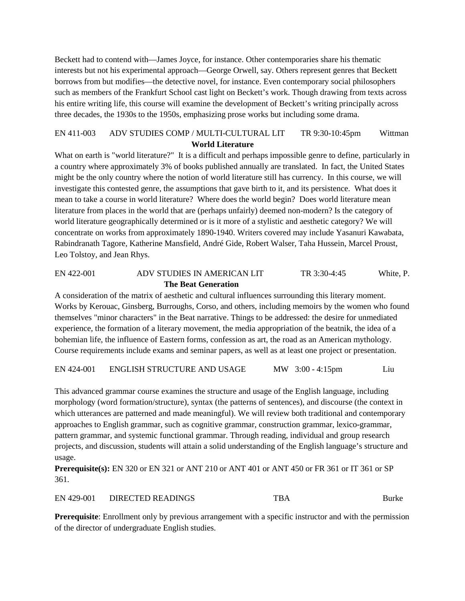Beckett had to contend with—James Joyce, for instance. Other contemporaries share his thematic interests but not his experimental approach—George Orwell, say. Others represent genres that Beckett borrows from but modifies—the detective novel, for instance. Even contemporary social philosophers such as members of the Frankfurt School cast light on Beckett's work. Though drawing from texts across his entire writing life, this course will examine the development of Beckett's writing principally across three decades, the 1930s to the 1950s, emphasizing prose works but including some drama.

#### EN 411-003 ADV STUDIES COMP / MULTI-CULTURAL LIT TR 9:30-10:45pm Wittman **World Literature**

What on earth is "world literature?" It is a difficult and perhaps impossible genre to define, particularly in a country where approximately 3% of books published annually are translated. In fact, the United States might be the only country where the notion of world literature still has currency. In this course, we will investigate this contested genre, the assumptions that gave birth to it, and its persistence. What does it mean to take a course in world literature? Where does the world begin? Does world literature mean literature from places in the world that are (perhaps unfairly) deemed non-modern? Is the category of world literature geographically determined or is it more of a stylistic and aesthetic category? We will concentrate on works from approximately 1890-1940. Writers covered may include Yasanuri Kawabata, Rabindranath Tagore, Katherine Mansfield, André Gide, Robert Walser, Taha Hussein, Marcel Proust, Leo Tolstoy, and Jean Rhys.

#### EN 422-001 ADV STUDIES IN AMERICAN LIT TR 3:30-4:45 White, P. **The Beat Generation**

A consideration of the matrix of aesthetic and cultural influences surrounding this literary moment. Works by Kerouac, Ginsberg, Burroughs, Corso, and others, including memoirs by the women who found themselves "minor characters" in the Beat narrative. Things to be addressed: the desire for unmediated experience, the formation of a literary movement, the media appropriation of the beatnik, the idea of a bohemian life, the influence of Eastern forms, confession as art, the road as an American mythology. Course requirements include exams and seminar papers, as well as at least one project or presentation.

EN 424-001 ENGLISH STRUCTURE AND USAGE MW 3:00 - 4:15pm Liu

This advanced grammar course examines the structure and usage of the English language, including morphology (word formation/structure), syntax (the patterns of sentences), and discourse (the context in which utterances are patterned and made meaningful). We will review both traditional and contemporary approaches to English grammar, such as cognitive grammar, construction grammar, lexico-grammar, pattern grammar, and systemic functional grammar. Through reading, individual and group research projects, and discussion, students will attain a solid understanding of the English language's structure and usage.

**Prerequisite(s):** EN 320 or EN 321 or ANT 210 or ANT 401 or ANT 450 or FR 361 or IT 361 or SP 361.

EN 429-001 DIRECTED READINGS TBA Burke

**Prerequisite**: Enrollment only by previous arrangement with a specific instructor and with the permission of the director of undergraduate English studies.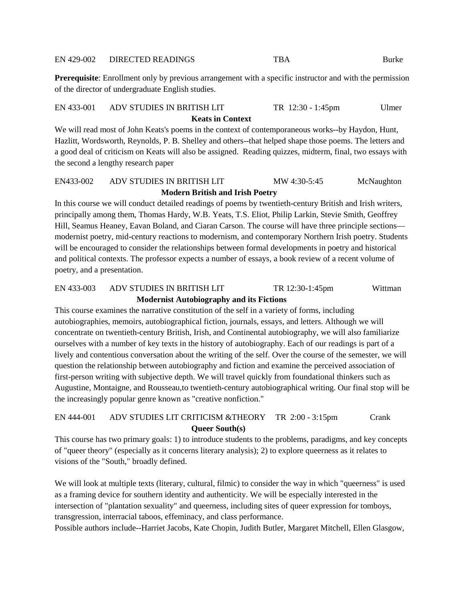#### EN 429-002 DIRECTED READINGS TBA Burke

**Prerequisite**: Enrollment only by previous arrangement with a specific instructor and with the permission of the director of undergraduate English studies.

# EN 433-001 ADV STUDIES IN BRITISH LIT TR 12:30 - 1:45pm Ulmer **Keats in Context**

We will read most of John Keats's poems in the context of contemporaneous works--by Haydon, Hunt, Hazlitt, Wordsworth, Reynolds, P. B. Shelley and others--that helped shape those poems. The letters and a good deal of criticism on Keats will also be assigned. Reading quizzes, midterm, final, two essays with the second a lengthy research paper

## EN433-002 ADV STUDIES IN BRITISH LIT MW 4:30-5:45 McNaughton  **Modern British and Irish Poetry**

In this course we will conduct detailed readings of poems by twentieth-century British and Irish writers, principally among them, Thomas Hardy, W.B. Yeats, T.S. Eliot, Philip Larkin, Stevie Smith, Geoffrey Hill, Seamus Heaney, Eavan Boland, and Ciaran Carson. The course will have three principle sections modernist poetry, mid-century reactions to modernism, and contemporary Northern Irish poetry. Students will be encouraged to consider the relationships between formal developments in poetry and historical and political contexts. The professor expects a number of essays, a book review of a recent volume of poetry, and a presentation.

#### EN 433-003 ADV STUDIES IN BRITISH LIT TR 12:30-1:45pm Wittman **Modernist Autobiography and its Fictions**

This course examines the narrative constitution of the self in a variety of forms, including autobiographies, memoirs, autobiographical fiction, journals, essays, and letters. Although we will concentrate on twentieth-century British, Irish, and Continental autobiography, we will also familiarize ourselves with a number of key texts in the history of autobiography. Each of our readings is part of a lively and contentious conversation about the writing of the self. Over the course of the semester, we will question the relationship between autobiography and fiction and examine the perceived association of first-person writing with subjective depth. We will travel quickly from foundational thinkers such as Augustine, Montaigne, and Rousseau,to twentieth-century autobiographical writing. Our final stop will be the increasingly popular genre known as "creative nonfiction."

# EN 444-001 ADV STUDIES LIT CRITICISM &THEORY TR 2:00 - 3:15pm Crank **Queer South(s)**

This course has two primary goals: 1) to introduce students to the problems, paradigms, and key concepts of "queer theory" (especially as it concerns literary analysis); 2) to explore queerness as it relates to visions of the "South," broadly defined.

We will look at multiple texts (literary, cultural, filmic) to consider the way in which "queerness" is used as a framing device for southern identity and authenticity. We will be especially interested in the intersection of "plantation sexuality" and queerness, including sites of queer expression for tomboys, transgression, interracial taboos, effeminacy, and class performance.

Possible authors include--Harriet Jacobs, Kate Chopin, Judith Butler, Margaret Mitchell, Ellen Glasgow,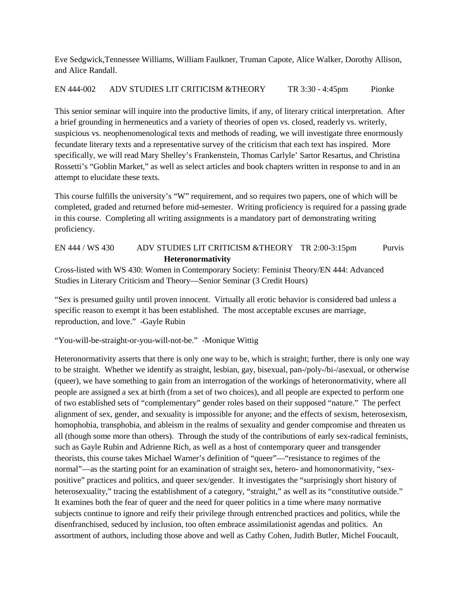Eve Sedgwick,Tennessee Williams, William Faulkner, Truman Capote, Alice Walker, Dorothy Allison, and Alice Randall.

EN 444-002 ADV STUDIES LIT CRITICISM &THEORY TR 3:30 - 4:45pm Pionke

This senior seminar will inquire into the productive limits, if any, of literary critical interpretation. After a brief grounding in hermeneutics and a variety of theories of open vs. closed, readerly vs. writerly, suspicious vs. neophenomenological texts and methods of reading, we will investigate three enormously fecundate literary texts and a representative survey of the criticism that each text has inspired. More specifically, we will read Mary Shelley's Frankenstein, Thomas Carlyle' Sartor Resartus, and Christina Rossetti's "Goblin Market," as well as select articles and book chapters written in response to and in an attempt to elucidate these texts.

This course fulfills the university's "W" requirement, and so requires two papers, one of which will be completed, graded and returned before mid-semester. Writing proficiency is required for a passing grade in this course. Completing all writing assignments is a mandatory part of demonstrating writing proficiency.

# EN 444 / WS 430 ADV STUDIES LIT CRITICISM &THEORY TR 2:00-3:15pm Purvis **Heteronormativity**

Cross-listed with WS 430: Women in Contemporary Society: Feminist Theory/EN 444: Advanced Studies in Literary Criticism and Theory—Senior Seminar (3 Credit Hours)

"Sex is presumed guilty until proven innocent. Virtually all erotic behavior is considered bad unless a specific reason to exempt it has been established. The most acceptable excuses are marriage, reproduction, and love." -Gayle Rubin

"You-will-be-straight-or-you-will-not-be." -Monique Wittig

Heteronormativity asserts that there is only one way to be, which is straight; further, there is only one way to be straight. Whether we identify as straight, lesbian, gay, bisexual, pan-/poly-/bi-/asexual, or otherwise (queer), we have something to gain from an interrogation of the workings of heteronormativity, where all people are assigned a sex at birth (from a set of two choices), and all people are expected to perform one of two established sets of "complementary" gender roles based on their supposed "nature." The perfect alignment of sex, gender, and sexuality is impossible for anyone; and the effects of sexism, heterosexism, homophobia, transphobia, and ableism in the realms of sexuality and gender compromise and threaten us all (though some more than others). Through the study of the contributions of early sex-radical feminists, such as Gayle Rubin and Adrienne Rich, as well as a host of contemporary queer and transgender theorists, this course takes Michael Warner's definition of "queer"—"resistance to regimes of the normal"—as the starting point for an examination of straight sex, hetero- and homonormativity, "sexpositive" practices and politics, and queer sex/gender. It investigates the "surprisingly short history of heterosexuality," tracing the establishment of a category, "straight," as well as its "constitutive outside." It examines both the fear of queer and the need for queer politics in a time where many normative subjects continue to ignore and reify their privilege through entrenched practices and politics, while the disenfranchised, seduced by inclusion, too often embrace assimilationist agendas and politics. An assortment of authors, including those above and well as Cathy Cohen, Judith Butler, Michel Foucault,